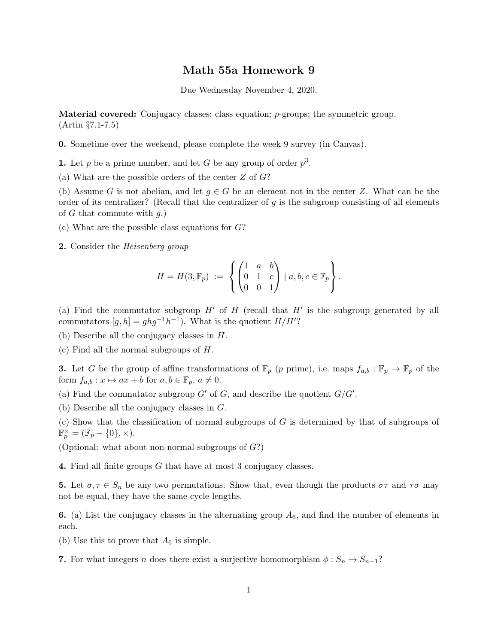## Math 55a Homework 9

Due Wednesday November 4, 2020.

Material covered: Conjugacy classes; class equation; p-groups; the symmetric group. (Artin §7.1-7.5)

0. Sometime over the weekend, please complete the week 9 survey (in Canvas).

**1.** Let p be a prime number, and let G be any group of order  $p^3$ .

(a) What are the possible orders of the center  $Z$  of  $G$ ?

(b) Assume G is not abelian, and let  $g \in G$  be an element not in the center Z. What can be the order of its centralizer? (Recall that the centralizer of  $q$  is the subgroup consisting of all elements of G that commute with  $q$ .)

- (c) What are the possible class equations for  $G$ ?
- **2.** Consider the *Heisenberg group*

$$
H = H(3, \mathbb{F}_p) := \left\{ \begin{pmatrix} 1 & a & b \\ 0 & 1 & c \\ 0 & 0 & 1 \end{pmatrix} \mid a, b, c \in \mathbb{F}_p \right\}.
$$

(a) Find the commutator subgroup  $H'$  of  $H$  (recall that  $H'$  is the subgroup generated by all commutators  $[g, h] = ghg^{-1}h^{-1}$ . What is the quotient  $H/H'$ ?

- (b) Describe all the conjugacy classes in H.
- (c) Find all the normal subgroups of H.

**3.** Let G be the group of affine transformations of  $\mathbb{F}_p$  (p prime), i.e. maps  $f_{a,b} : \mathbb{F}_p \to \mathbb{F}_p$  of the form  $f_{a,b}$ :  $x \mapsto ax + b$  for  $a, b \in \mathbb{F}_p$ ,  $a \neq 0$ .

(a) Find the commutator subgroup  $G'$  of  $G$ , and describe the quotient  $G/G'$ .

(b) Describe all the conjugacy classes in G.

(c) Show that the classification of normal subgroups of G is determined by that of subgroups of  $\mathbb{F}_p^\times = (\mathbb{F}_p - \{0\}, \times).$ 

(Optional: what about non-normal subgroups of  $G$ ?)

4. Find all finite groups G that have at most 3 conjugacy classes.

5. Let  $\sigma, \tau \in S_n$  be any two permutations. Show that, even though the products  $\sigma\tau$  and  $\tau\sigma$  may not be equal, they have the same cycle lengths.

6. (a) List the conjugacy classes in the alternating group  $A_6$ , and find the number of elements in each.

(b) Use this to prove that  $A_6$  is simple.

7. For what integers n does there exist a surjective homomorphism  $\phi : S_n \to S_{n-1}$ ?